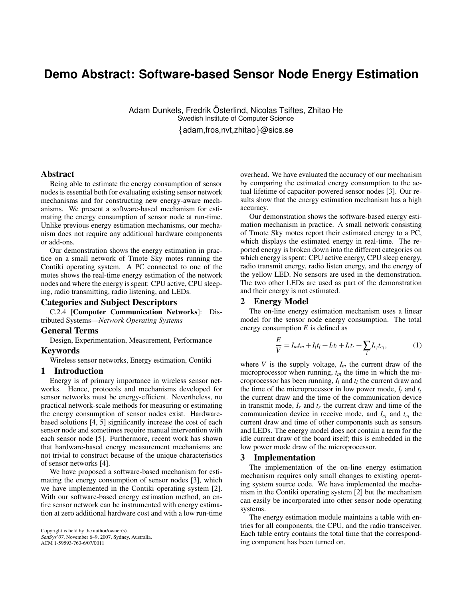# **Demo Abstract: Software-based Sensor Node Energy Estimation**

Adam Dunkels, Fredrik Osterlind, Nicolas Tsiftes, Zhitao He ¨ Swedish Institute of Computer Science {adam,fros,nvt,zhitao}@sics.se

#### Abstract

Being able to estimate the energy consumption of sensor nodes is essential both for evaluating existing sensor network mechanisms and for constructing new energy-aware mechanisms. We present a software-based mechanism for estimating the energy consumption of sensor node at run-time. Unlike previous energy estimation mechanisms, our mechanism does not require any additional hardware components or add-ons.

Our demonstration shows the energy estimation in practice on a small network of Tmote Sky motes running the Contiki operating system. A PC connected to one of the motes shows the real-time energy estimation of the network nodes and where the energy is spent: CPU active, CPU sleeping, radio transmitting, radio listening, and LEDs.

### Categories and Subject Descriptors

C.2.4 [Computer Communication Networks]: Distributed Systems—*Network Operating Systems*

#### General Terms

Design, Experimentation, Measurement, Performance

#### Keywords

Wireless sensor networks, Energy estimation, Contiki

#### 1 Introduction

Energy is of primary importance in wireless sensor networks. Hence, protocols and mechanisms developed for sensor networks must be energy-efficient. Nevertheless, no practical network-scale methods for measuring or estimating the energy consumption of sensor nodes exist. Hardwarebased solutions [4, 5] significantly increase the cost of each sensor node and sometimes require manual intervention with each sensor node [5]. Furthermore, recent work has shown that hardware-based energy measurement mechanisms are not trivial to construct because of the unique characteristics of sensor networks [4].

We have proposed a software-based mechanism for estimating the energy consumption of sensor nodes [3], which we have implemented in the Contiki operating system [2]. With our software-based energy estimation method, an entire sensor network can be instrumented with energy estimation at zero additional hardware cost and with a low run-time

Copyright is held by the author/owner(s). SenSys'07, November 6–9, 2007, Sydney, Australia. ACM 1-59593-763-6/07/0011

overhead. We have evaluated the accuracy of our mechanism by comparing the estimated energy consumption to the actual lifetime of capacitor-powered sensor nodes [3]. Our results show that the energy estimation mechanism has a high accuracy.

Our demonstration shows the software-based energy estimation mechanism in practice. A small network consisting of Tmote Sky motes report their estimated energy to a PC, which displays the estimated energy in real-time. The reported energy is broken down into the different categories on which energy is spent: CPU active energy, CPU sleep energy, radio transmit energy, radio listen energy, and the energy of the yellow LED. No sensors are used in the demonstration. The two other LEDs are used as part of the demonstration and their energy is not estimated.

#### 2 Energy Model

The on-line energy estimation mechanism uses a linear model for the sensor node energy consumption. The total energy consumption *E* is defined as

$$
\frac{E}{V} = I_m t_m + I_l t_l + I_l t_l + I_r t_r + \sum_i I_{c_i} t_{c_i},\tag{1}
$$

where  $V$  is the supply voltage,  $I_m$  the current draw of the microprocessor when running, *t<sup>m</sup>* the time in which the microprocessor has been running,  $I_l$  and  $t_l$  the current draw and the time of the microprocessor in low power mode,  $I_t$  and  $t_t$ the current draw and the time of the communication device in transmit mode,  $I_r$  and  $t_r$  the current draw and time of the communication device in receive mode, and  $I_{c_i}$  and  $t_{c_i}$  the current draw and time of other components such as sensors and LEDs. The energy model does not contain a term for the idle current draw of the board itself; this is embedded in the low power mode draw of the microprocessor.

#### 3 Implementation

The implementation of the on-line energy estimation mechanism requires only small changes to existing operating system source code. We have implemented the mechanism in the Contiki operating system [2] but the mechanism can easily be incorporated into other sensor node operating systems.

The energy estimation module maintains a table with entries for all components, the CPU, and the radio transceiver. Each table entry contains the total time that the corresponding component has been turned on.